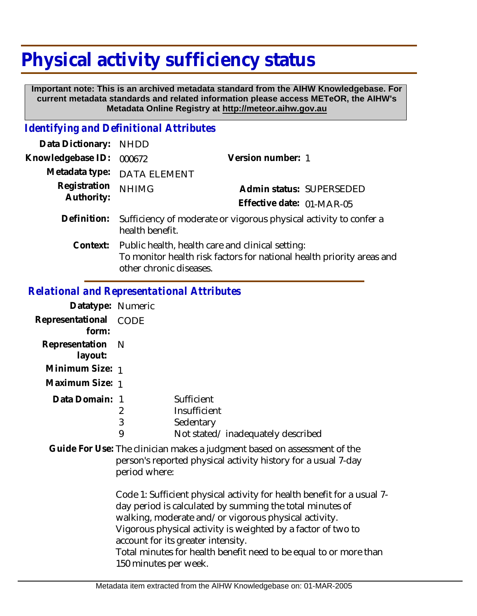# **Physical activity sufficiency status**

 **Important note: This is an archived metadata standard from the AIHW Knowledgebase. For current metadata standards and related information please access METeOR, the AIHW's Metadata Online Registry at http://meteor.aihw.gov.au**

## *Identifying and Definitional Attributes*

| Data Dictionary:           | <b>NHDD</b>                                                                                                                                                   |                           |
|----------------------------|---------------------------------------------------------------------------------------------------------------------------------------------------------------|---------------------------|
| Knowledgebase ID:          | 000672                                                                                                                                                        | Version number: 1         |
|                            | Metadata type: DATA ELEMENT                                                                                                                                   |                           |
| Registration<br>Authority: | <b>NHIMG</b>                                                                                                                                                  | Admin status: SUPERSEDED  |
|                            |                                                                                                                                                               | Effective date: 01-MAR-05 |
| Definition:                | Sufficiency of moderate or vigorous physical activity to confer a<br>health benefit.                                                                          |                           |
|                            | Context: Public health, health care and clinical setting:<br>To monitor health risk factors for national health priority areas and<br>other chronic diseases. |                           |

#### *Relational and Representational Attributes*

| Datatype: Numeric              |   |                                   |
|--------------------------------|---|-----------------------------------|
| Representational CODE<br>form: |   |                                   |
| Representation N<br>layout:    |   |                                   |
| Minimum Size: 1                |   |                                   |
| Maximum Size: 1                |   |                                   |
| Data Domain: 1                 |   | Sufficient                        |
|                                | 2 | Insufficient                      |
|                                | 3 | Sedentary                         |
|                                | 9 | Not stated/inadequately described |

Guide For Use: The clinician makes a judgment based on assessment of the person's reported physical activity history for a usual 7-day period where:

> Code 1: Sufficient physical activity for health benefit for a usual 7 day period is calculated by summing the total minutes of walking, moderate and/or vigorous physical activity. Vigorous physical activity is weighted by a factor of two to account for its greater intensity. Total minutes for health benefit need to be equal to or more than 150 minutes per week.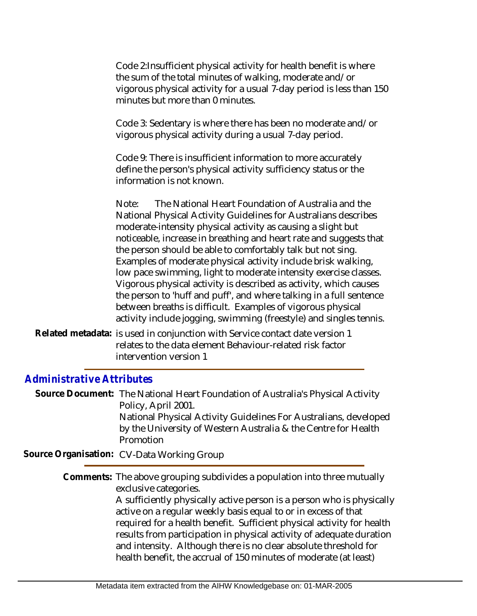Code 2:Insufficient physical activity for health benefit is where the sum of the total minutes of walking, moderate and/or vigorous physical activity for a usual 7-day period is less than 150 minutes but more than 0 minutes.

Code 3: Sedentary is where there has been no moderate and/or vigorous physical activity during a usual 7-day period.

Code 9: There is insufficient information to more accurately define the person's physical activity sufficiency status or the information is not known.

Note: The National Heart Foundation of Australia and the National Physical Activity Guidelines for Australians describes moderate-intensity physical activity as causing a slight but noticeable, increase in breathing and heart rate and suggests that the person should be able to comfortably talk but not sing. Examples of moderate physical activity include brisk walking, low pace swimming, light to moderate intensity exercise classes. Vigorous physical activity is described as activity, which causes the person to 'huff and puff', and where talking in a full sentence between breaths is difficult. Examples of vigorous physical activity include jogging, swimming (freestyle) and singles tennis.

Related metadata: is used in conjunction with Service contact date version 1 relates to the data element Behaviour-related risk factor intervention version 1

### *Administrative Attributes*

Source Document: The National Heart Foundation of Australia's Physical Activity Policy, April 2001. National Physical Activity Guidelines For Australians, developed by the University of Western Australia & the Centre for Health

Promotion

**Source Organisation:** CV-Data Working Group

Comments: The above grouping subdivides a population into three mutually exclusive categories.

> A sufficiently physically active person is a person who is physically active on a regular weekly basis equal to or in excess of that required for a health benefit. Sufficient physical activity for health results from participation in physical activity of adequate duration and intensity. Although there is no clear absolute threshold for health benefit, the accrual of 150 minutes of moderate (at least)